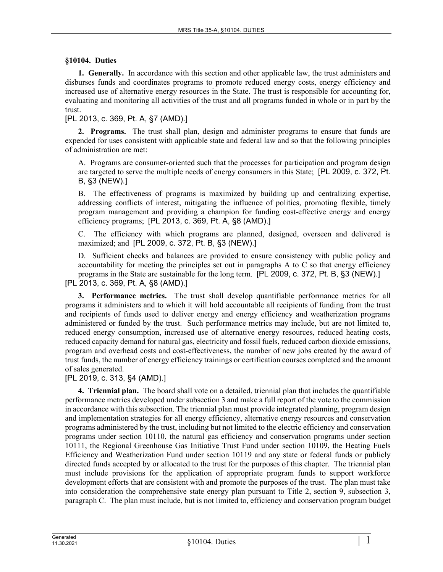## **§10104. Duties**

**1. Generally.** In accordance with this section and other applicable law, the trust administers and disburses funds and coordinates programs to promote reduced energy costs, energy efficiency and increased use of alternative energy resources in the State. The trust is responsible for accounting for, evaluating and monitoring all activities of the trust and all programs funded in whole or in part by the trust.

[PL 2013, c. 369, Pt. A, §7 (AMD).]

**2. Programs.** The trust shall plan, design and administer programs to ensure that funds are expended for uses consistent with applicable state and federal law and so that the following principles of administration are met:

A. Programs are consumer-oriented such that the processes for participation and program design are targeted to serve the multiple needs of energy consumers in this State; [PL 2009, c. 372, Pt. B, §3 (NEW).]

B. The effectiveness of programs is maximized by building up and centralizing expertise, addressing conflicts of interest, mitigating the influence of politics, promoting flexible, timely program management and providing a champion for funding cost-effective energy and energy efficiency programs; [PL 2013, c. 369, Pt. A, §8 (AMD).]

C. The efficiency with which programs are planned, designed, overseen and delivered is maximized; and [PL 2009, c. 372, Pt. B, §3 (NEW).]

D. Sufficient checks and balances are provided to ensure consistency with public policy and accountability for meeting the principles set out in paragraphs A to C so that energy efficiency programs in the State are sustainable for the long term. [PL 2009, c. 372, Pt. B, §3 (NEW).]

[PL 2013, c. 369, Pt. A, §8 (AMD).]

**3. Performance metrics.** The trust shall develop quantifiable performance metrics for all programs it administers and to which it will hold accountable all recipients of funding from the trust and recipients of funds used to deliver energy and energy efficiency and weatherization programs administered or funded by the trust. Such performance metrics may include, but are not limited to, reduced energy consumption, increased use of alternative energy resources, reduced heating costs, reduced capacity demand for natural gas, electricity and fossil fuels, reduced carbon dioxide emissions, program and overhead costs and cost-effectiveness, the number of new jobs created by the award of trust funds, the number of energy efficiency trainings or certification courses completed and the amount of sales generated.

[PL 2019, c. 313, §4 (AMD).]

**4. Triennial plan.** The board shall vote on a detailed, triennial plan that includes the quantifiable performance metrics developed under subsection 3 and make a full report of the vote to the commission in accordance with this subsection. The triennial plan must provide integrated planning, program design and implementation strategies for all energy efficiency, alternative energy resources and conservation programs administered by the trust, including but not limited to the electric efficiency and conservation programs under section 10110, the natural gas efficiency and conservation programs under section 10111, the Regional Greenhouse Gas Initiative Trust Fund under section 10109, the Heating Fuels Efficiency and Weatherization Fund under section 10119 and any state or federal funds or publicly directed funds accepted by or allocated to the trust for the purposes of this chapter. The triennial plan must include provisions for the application of appropriate program funds to support workforce development efforts that are consistent with and promote the purposes of the trust. The plan must take into consideration the comprehensive state energy plan pursuant to Title 2, section 9, subsection 3, paragraph C. The plan must include, but is not limited to, efficiency and conservation program budget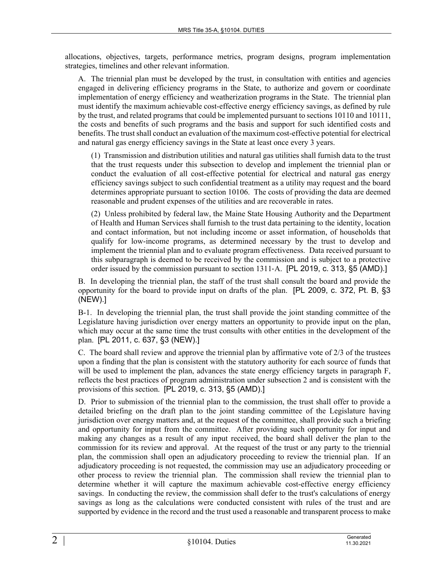allocations, objectives, targets, performance metrics, program designs, program implementation strategies, timelines and other relevant information.

A. The triennial plan must be developed by the trust, in consultation with entities and agencies engaged in delivering efficiency programs in the State, to authorize and govern or coordinate implementation of energy efficiency and weatherization programs in the State. The triennial plan must identify the maximum achievable cost-effective energy efficiency savings, as defined by rule by the trust, and related programs that could be implemented pursuant to sections 10110 and 10111, the costs and benefits of such programs and the basis and support for such identified costs and benefits. The trust shall conduct an evaluation of the maximum cost-effective potential for electrical and natural gas energy efficiency savings in the State at least once every 3 years.

(1) Transmission and distribution utilities and natural gas utilities shall furnish data to the trust that the trust requests under this subsection to develop and implement the triennial plan or conduct the evaluation of all cost-effective potential for electrical and natural gas energy efficiency savings subject to such confidential treatment as a utility may request and the board determines appropriate pursuant to section 10106. The costs of providing the data are deemed reasonable and prudent expenses of the utilities and are recoverable in rates.

(2) Unless prohibited by federal law, the Maine State Housing Authority and the Department of Health and Human Services shall furnish to the trust data pertaining to the identity, location and contact information, but not including income or asset information, of households that qualify for low-income programs, as determined necessary by the trust to develop and implement the triennial plan and to evaluate program effectiveness. Data received pursuant to this subparagraph is deemed to be received by the commission and is subject to a protective order issued by the commission pursuant to section 1311–A. [PL 2019, c. 313, §5 (AMD).]

B. In developing the triennial plan, the staff of the trust shall consult the board and provide the opportunity for the board to provide input on drafts of the plan. [PL 2009, c. 372, Pt. B, §3 (NEW).]

B-1. In developing the triennial plan, the trust shall provide the joint standing committee of the Legislature having jurisdiction over energy matters an opportunity to provide input on the plan, which may occur at the same time the trust consults with other entities in the development of the plan. [PL 2011, c. 637, §3 (NEW).]

C. The board shall review and approve the triennial plan by affirmative vote of 2/3 of the trustees upon a finding that the plan is consistent with the statutory authority for each source of funds that will be used to implement the plan, advances the state energy efficiency targets in paragraph F, reflects the best practices of program administration under subsection 2 and is consistent with the provisions of this section. [PL 2019, c. 313, §5 (AMD).]

D. Prior to submission of the triennial plan to the commission, the trust shall offer to provide a detailed briefing on the draft plan to the joint standing committee of the Legislature having jurisdiction over energy matters and, at the request of the committee, shall provide such a briefing and opportunity for input from the committee. After providing such opportunity for input and making any changes as a result of any input received, the board shall deliver the plan to the commission for its review and approval. At the request of the trust or any party to the triennial plan, the commission shall open an adjudicatory proceeding to review the triennial plan. If an adjudicatory proceeding is not requested, the commission may use an adjudicatory proceeding or other process to review the triennial plan. The commission shall review the triennial plan to determine whether it will capture the maximum achievable cost-effective energy efficiency savings. In conducting the review, the commission shall defer to the trust's calculations of energy savings as long as the calculations were conducted consistent with rules of the trust and are supported by evidence in the record and the trust used a reasonable and transparent process to make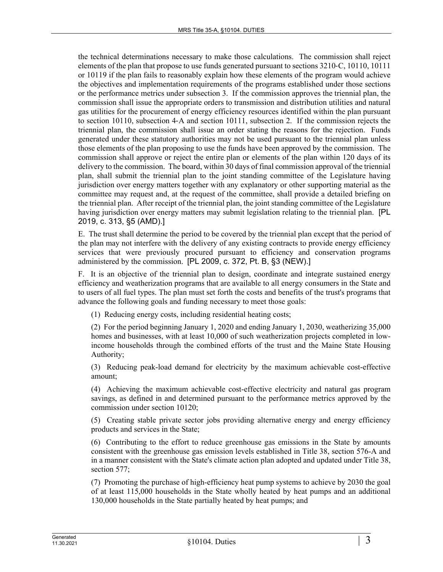the technical determinations necessary to make those calculations. The commission shall reject elements of the plan that propose to use funds generated pursuant to sections 3210‑C, 10110, 10111 or 10119 if the plan fails to reasonably explain how these elements of the program would achieve the objectives and implementation requirements of the programs established under those sections or the performance metrics under subsection 3. If the commission approves the triennial plan, the commission shall issue the appropriate orders to transmission and distribution utilities and natural gas utilities for the procurement of energy efficiency resources identified within the plan pursuant to section 10110, subsection 4‑A and section 10111, subsection 2. If the commission rejects the triennial plan, the commission shall issue an order stating the reasons for the rejection. Funds generated under these statutory authorities may not be used pursuant to the triennial plan unless those elements of the plan proposing to use the funds have been approved by the commission. The commission shall approve or reject the entire plan or elements of the plan within 120 days of its delivery to the commission. The board, within 30 days of final commission approval of the triennial plan, shall submit the triennial plan to the joint standing committee of the Legislature having jurisdiction over energy matters together with any explanatory or other supporting material as the committee may request and, at the request of the committee, shall provide a detailed briefing on the triennial plan. After receipt of the triennial plan, the joint standing committee of the Legislature having jurisdiction over energy matters may submit legislation relating to the triennial plan. [PL] 2019, c. 313, §5 (AMD).]

E. The trust shall determine the period to be covered by the triennial plan except that the period of the plan may not interfere with the delivery of any existing contracts to provide energy efficiency services that were previously procured pursuant to efficiency and conservation programs administered by the commission. [PL 2009, c. 372, Pt. B, §3 (NEW).]

F. It is an objective of the triennial plan to design, coordinate and integrate sustained energy efficiency and weatherization programs that are available to all energy consumers in the State and to users of all fuel types. The plan must set forth the costs and benefits of the trust's programs that advance the following goals and funding necessary to meet those goals:

(1) Reducing energy costs, including residential heating costs;

(2) For the period beginning January 1, 2020 and ending January 1, 2030, weatherizing 35,000 homes and businesses, with at least 10,000 of such weatherization projects completed in lowincome households through the combined efforts of the trust and the Maine State Housing Authority;

(3) Reducing peak-load demand for electricity by the maximum achievable cost-effective amount;

(4) Achieving the maximum achievable cost-effective electricity and natural gas program savings, as defined in and determined pursuant to the performance metrics approved by the commission under section 10120;

(5) Creating stable private sector jobs providing alternative energy and energy efficiency products and services in the State;

(6) Contributing to the effort to reduce greenhouse gas emissions in the State by amounts consistent with the greenhouse gas emission levels established in Title 38, section 576-A and in a manner consistent with the State's climate action plan adopted and updated under Title 38, section 577;

(7) Promoting the purchase of high-efficiency heat pump systems to achieve by 2030 the goal of at least 115,000 households in the State wholly heated by heat pumps and an additional 130,000 households in the State partially heated by heat pumps; and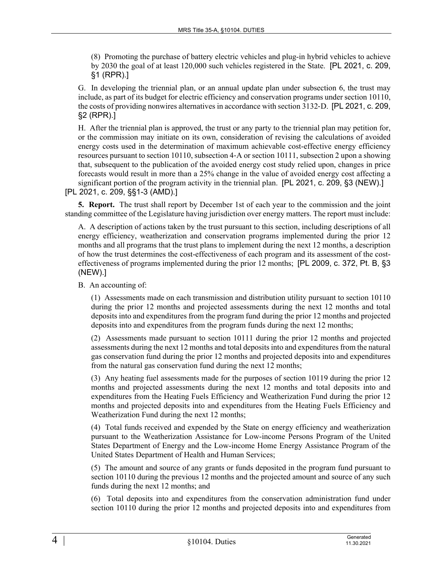(8) Promoting the purchase of battery electric vehicles and plug-in hybrid vehicles to achieve by 2030 the goal of at least 120,000 such vehicles registered in the State. [PL 2021, c. 209, §1 (RPR).]

G. In developing the triennial plan, or an annual update plan under subsection 6, the trust may include, as part of its budget for electric efficiency and conservation programs under section 10110, the costs of providing nonwires alternatives in accordance with section 3132‑D. [PL 2021, c. 209, §2 (RPR).]

H. After the triennial plan is approved, the trust or any party to the triennial plan may petition for, or the commission may initiate on its own, consideration of revising the calculations of avoided energy costs used in the determination of maximum achievable cost-effective energy efficiency resources pursuant to section 10110, subsection 4‑A or section 10111, subsection 2 upon a showing that, subsequent to the publication of the avoided energy cost study relied upon, changes in price forecasts would result in more than a 25% change in the value of avoided energy cost affecting a significant portion of the program activity in the triennial plan. [PL 2021, c. 209, §3 (NEW).] [PL 2021, c. 209, §§1-3 (AMD).]

**5. Report.** The trust shall report by December 1st of each year to the commission and the joint standing committee of the Legislature having jurisdiction over energy matters. The report must include:

A. A description of actions taken by the trust pursuant to this section, including descriptions of all energy efficiency, weatherization and conservation programs implemented during the prior 12 months and all programs that the trust plans to implement during the next 12 months, a description of how the trust determines the cost-effectiveness of each program and its assessment of the costeffectiveness of programs implemented during the prior 12 months; [PL 2009, c. 372, Pt. B, §3 (NEW).]

B. An accounting of:

(1) Assessments made on each transmission and distribution utility pursuant to section 10110 during the prior 12 months and projected assessments during the next 12 months and total deposits into and expenditures from the program fund during the prior 12 months and projected deposits into and expenditures from the program funds during the next 12 months;

(2) Assessments made pursuant to section 10111 during the prior 12 months and projected assessments during the next 12 months and total deposits into and expenditures from the natural gas conservation fund during the prior 12 months and projected deposits into and expenditures from the natural gas conservation fund during the next 12 months;

(3) Any heating fuel assessments made for the purposes of section 10119 during the prior 12 months and projected assessments during the next 12 months and total deposits into and expenditures from the Heating Fuels Efficiency and Weatherization Fund during the prior 12 months and projected deposits into and expenditures from the Heating Fuels Efficiency and Weatherization Fund during the next 12 months;

(4) Total funds received and expended by the State on energy efficiency and weatherization pursuant to the Weatherization Assistance for Low-income Persons Program of the United States Department of Energy and the Low-income Home Energy Assistance Program of the United States Department of Health and Human Services;

(5) The amount and source of any grants or funds deposited in the program fund pursuant to section 10110 during the previous 12 months and the projected amount and source of any such funds during the next 12 months; and

(6) Total deposits into and expenditures from the conservation administration fund under section 10110 during the prior 12 months and projected deposits into and expenditures from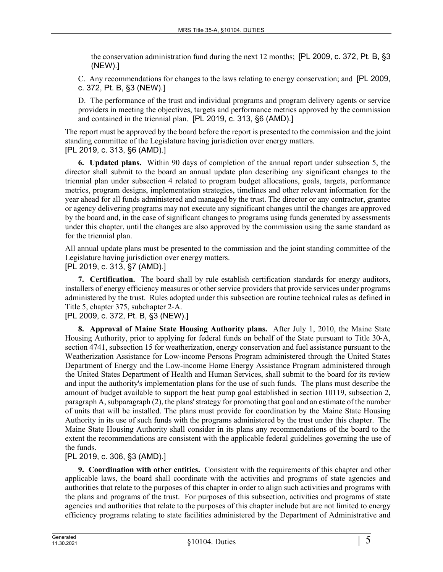the conservation administration fund during the next 12 months; [PL 2009, c. 372, Pt. B, §3 (NEW).]

C. Any recommendations for changes to the laws relating to energy conservation; and [PL 2009, c. 372, Pt. B, §3 (NEW).]

D. The performance of the trust and individual programs and program delivery agents or service providers in meeting the objectives, targets and performance metrics approved by the commission and contained in the triennial plan. [PL 2019, c. 313, §6 (AMD).]

The report must be approved by the board before the report is presented to the commission and the joint standing committee of the Legislature having jurisdiction over energy matters. [PL 2019, c. 313, §6 (AMD).]

**6. Updated plans.** Within 90 days of completion of the annual report under subsection 5, the director shall submit to the board an annual update plan describing any significant changes to the triennial plan under subsection 4 related to program budget allocations, goals, targets, performance metrics, program designs, implementation strategies, timelines and other relevant information for the year ahead for all funds administered and managed by the trust. The director or any contractor, grantee or agency delivering programs may not execute any significant changes until the changes are approved by the board and, in the case of significant changes to programs using funds generated by assessments under this chapter, until the changes are also approved by the commission using the same standard as for the triennial plan.

All annual update plans must be presented to the commission and the joint standing committee of the Legislature having jurisdiction over energy matters. [PL 2019, c. 313, §7 (AMD).]

**7. Certification.** The board shall by rule establish certification standards for energy auditors, installers of energy efficiency measures or other service providers that provide services under programs administered by the trust. Rules adopted under this subsection are routine technical rules as defined in Title 5, chapter 375, subchapter 2‑A.

[PL 2009, c. 372, Pt. B, §3 (NEW).]

**8. Approval of Maine State Housing Authority plans.** After July 1, 2010, the Maine State Housing Authority, prior to applying for federal funds on behalf of the State pursuant to Title 30‑A, section 4741, subsection 15 for weatherization, energy conservation and fuel assistance pursuant to the Weatherization Assistance for Low-income Persons Program administered through the United States Department of Energy and the Low-income Home Energy Assistance Program administered through the United States Department of Health and Human Services, shall submit to the board for its review and input the authority's implementation plans for the use of such funds. The plans must describe the amount of budget available to support the heat pump goal established in section 10119, subsection 2, paragraph A, subparagraph (2), the plans' strategy for promoting that goal and an estimate of the number of units that will be installed. The plans must provide for coordination by the Maine State Housing Authority in its use of such funds with the programs administered by the trust under this chapter. The Maine State Housing Authority shall consider in its plans any recommendations of the board to the extent the recommendations are consistent with the applicable federal guidelines governing the use of the funds.

[PL 2019, c. 306, §3 (AMD).]

**9. Coordination with other entities.** Consistent with the requirements of this chapter and other applicable laws, the board shall coordinate with the activities and programs of state agencies and authorities that relate to the purposes of this chapter in order to align such activities and programs with the plans and programs of the trust. For purposes of this subsection, activities and programs of state agencies and authorities that relate to the purposes of this chapter include but are not limited to energy efficiency programs relating to state facilities administered by the Department of Administrative and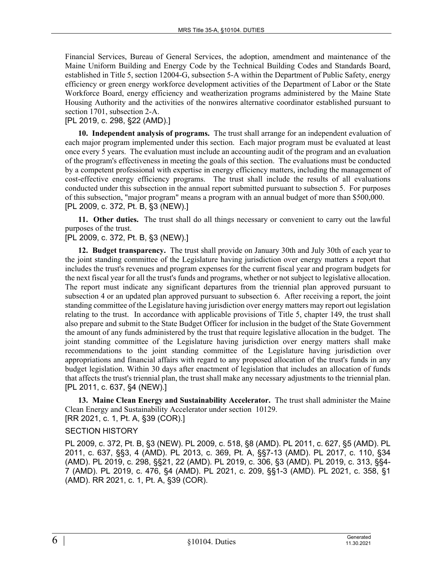Financial Services, Bureau of General Services, the adoption, amendment and maintenance of the Maine Uniform Building and Energy Code by the Technical Building Codes and Standards Board, established in Title 5, section 12004-G, subsection 5-A within the Department of Public Safety, energy efficiency or green energy workforce development activities of the Department of Labor or the State Workforce Board, energy efficiency and weatherization programs administered by the Maine State Housing Authority and the activities of the nonwires alternative coordinator established pursuant to section 1701, subsection 2-A.

## [PL 2019, c. 298, §22 (AMD).]

**10. Independent analysis of programs.** The trust shall arrange for an independent evaluation of each major program implemented under this section. Each major program must be evaluated at least once every 5 years. The evaluation must include an accounting audit of the program and an evaluation of the program's effectiveness in meeting the goals of this section. The evaluations must be conducted by a competent professional with expertise in energy efficiency matters, including the management of cost-effective energy efficiency programs. The trust shall include the results of all evaluations conducted under this subsection in the annual report submitted pursuant to subsection 5. For purposes of this subsection, "major program" means a program with an annual budget of more than \$500,000. [PL 2009, c. 372, Pt. B, §3 (NEW).]

**11. Other duties.** The trust shall do all things necessary or convenient to carry out the lawful purposes of the trust.

## [PL 2009, c. 372, Pt. B, §3 (NEW).]

**12. Budget transparency.** The trust shall provide on January 30th and July 30th of each year to the joint standing committee of the Legislature having jurisdiction over energy matters a report that includes the trust's revenues and program expenses for the current fiscal year and program budgets for the next fiscal year for all the trust's funds and programs, whether or not subject to legislative allocation. The report must indicate any significant departures from the triennial plan approved pursuant to subsection 4 or an updated plan approved pursuant to subsection 6. After receiving a report, the joint standing committee of the Legislature having jurisdiction over energy matters may report out legislation relating to the trust. In accordance with applicable provisions of Title 5, chapter 149, the trust shall also prepare and submit to the State Budget Officer for inclusion in the budget of the State Government the amount of any funds administered by the trust that require legislative allocation in the budget. The joint standing committee of the Legislature having jurisdiction over energy matters shall make recommendations to the joint standing committee of the Legislature having jurisdiction over appropriations and financial affairs with regard to any proposed allocation of the trust's funds in any budget legislation. Within 30 days after enactment of legislation that includes an allocation of funds that affects the trust's triennial plan, the trust shall make any necessary adjustments to the triennial plan. [PL 2011, c. 637, §4 (NEW).]

**13. Maine Clean Energy and Sustainability Accelerator.** The trust shall administer the Maine Clean Energy and Sustainability Accelerator under section 10129. [RR 2021, c. 1, Pt. A, §39 (COR).]

## SECTION HISTORY

PL 2009, c. 372, Pt. B, §3 (NEW). PL 2009, c. 518, §8 (AMD). PL 2011, c. 627, §5 (AMD). PL 2011, c. 637, §§3, 4 (AMD). PL 2013, c. 369, Pt. A, §§7-13 (AMD). PL 2017, c. 110, §34 (AMD). PL 2019, c. 298, §§21, 22 (AMD). PL 2019, c. 306, §3 (AMD). PL 2019, c. 313, §§4- 7 (AMD). PL 2019, c. 476, §4 (AMD). PL 2021, c. 209, §§1-3 (AMD). PL 2021, c. 358, §1 (AMD). RR 2021, c. 1, Pt. A, §39 (COR).